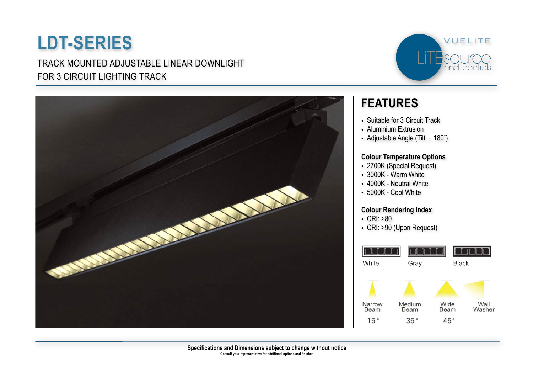TRACK MOUNTED ADJUSTABLE LINEAR DOWNLIGHT FOR 3 CIRCUIT LIGHTING TRACK





### **FEATURES**

- Suitable for 3 Circuit Track
- Aluminium Extrusion
- Adjustable Angle (Tilt ∠ 180˚)

#### **Colour Temperature Options**

- 2700K (Special Request)
- 3000K Warm White
- 4000K Neutral White
- 5000K Cool White

#### **Colour Rendering Index**

- CRI: >80
- CRI: >90 (Upon Request)

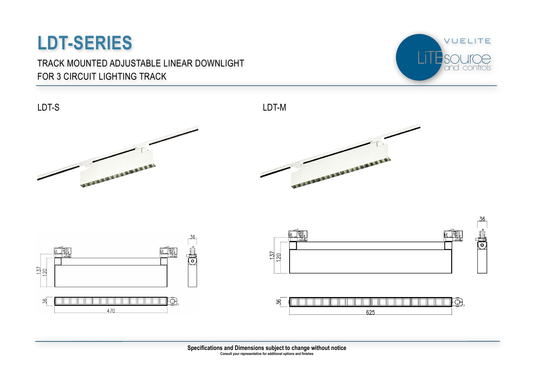### TRACK MOUNTED ADJUSTABLE LINEAR DOWNLIGHT FOR 3 CIRCUIT LIGHTING TRACK



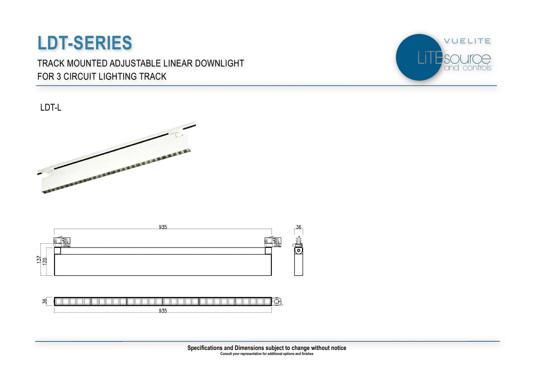TRACK MOUNTED ADJUSTABLE LINEAR DOWNLIGHT FOR 3 CIRCUIT LIGHTING TRACK



LDT-L